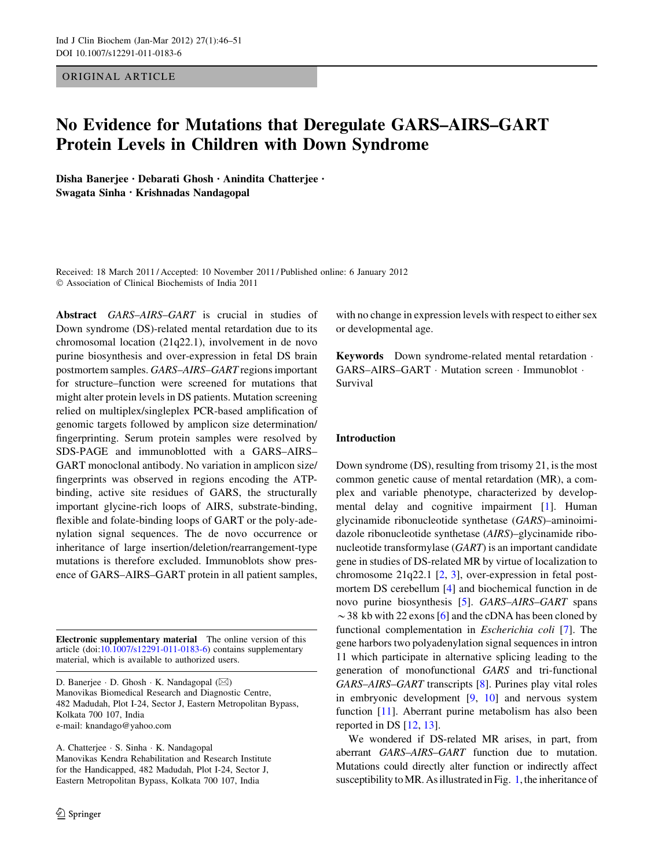ORIGINAL ARTICLE

# No Evidence for Mutations that Deregulate GARS–AIRS–GART Protein Levels in Children with Down Syndrome

Disha Banerjee • Debarati Ghosh • Anindita Chatterjee • Swagata Sinha • Krishnadas Nandagopal

Received: 18 March 2011 / Accepted: 10 November 2011 / Published online: 6 January 2012  $©$  Association of Clinical Biochemists of India 2011

Abstract GARS–AIRS–GART is crucial in studies of Down syndrome (DS)-related mental retardation due to its chromosomal location (21q22.1), involvement in de novo purine biosynthesis and over-expression in fetal DS brain postmortem samples. GARS–AIRS–GART regions important for structure–function were screened for mutations that might alter protein levels in DS patients. Mutation screening relied on multiplex/singleplex PCR-based amplification of genomic targets followed by amplicon size determination/ fingerprinting. Serum protein samples were resolved by SDS-PAGE and immunoblotted with a GARS–AIRS– GART monoclonal antibody. No variation in amplicon size/ fingerprints was observed in regions encoding the ATPbinding, active site residues of GARS, the structurally important glycine-rich loops of AIRS, substrate-binding, flexible and folate-binding loops of GART or the poly-adenylation signal sequences. The de novo occurrence or inheritance of large insertion/deletion/rearrangement-type mutations is therefore excluded. Immunoblots show presence of GARS–AIRS–GART protein in all patient samples,

Electronic supplementary material The online version of this article (doi:[10.1007/s12291-011-0183-6\)](http://dx.doi.org/10.1007/s12291-011-0183-6) contains supplementary material, which is available to authorized users.

D. Banerjee · D. Ghosh · K. Nandagopal ( $\boxtimes$ ) Manovikas Biomedical Research and Diagnostic Centre, 482 Madudah, Plot I-24, Sector J, Eastern Metropolitan Bypass, Kolkata 700 107, India e-mail: knandago@yahoo.com

A. Chatterjee - S. Sinha - K. Nandagopal Manovikas Kendra Rehabilitation and Research Institute for the Handicapped, 482 Madudah, Plot I-24, Sector J, Eastern Metropolitan Bypass, Kolkata 700 107, India

with no change in expression levels with respect to either sex or developmental age.

Keywords Down syndrome-related mental retardation · GARS-AIRS-GART · Mutation screen · Immunoblot · Survival

### Introduction

Down syndrome (DS), resulting from trisomy 21, is the most common genetic cause of mental retardation (MR), a complex and variable phenotype, characterized by developmental delay and cognitive impairment [\[1](#page-4-0)]. Human glycinamide ribonucleotide synthetase (GARS)–aminoimidazole ribonucleotide synthetase (AIRS)–glycinamide ribonucleotide transformylase (GART) is an important candidate gene in studies of DS-related MR by virtue of localization to chromosome 21q22.1 [\[2](#page-4-0), [3\]](#page-5-0), over-expression in fetal postmortem DS cerebellum [[4\]](#page-5-0) and biochemical function in de novo purine biosynthesis [[5\]](#page-5-0). GARS–AIRS–GART spans  $\sim$  38 kb with 22 exons [\[6](#page-5-0)] and the cDNA has been cloned by functional complementation in Escherichia coli [\[7](#page-5-0)]. The gene harbors two polyadenylation signal sequences in intron 11 which participate in alternative splicing leading to the generation of monofunctional GARS and tri-functional GARS–AIRS–GART transcripts [\[8](#page-5-0)]. Purines play vital roles in embryonic development [\[9](#page-5-0), [10\]](#page-5-0) and nervous system function [\[11\]](#page-5-0). Aberrant purine metabolism has also been reported in DS [[12,](#page-5-0) [13\]](#page-5-0).

We wondered if DS-related MR arises, in part, from aberrant GARS–AIRS–GART function due to mutation. Mutations could directly alter function or indirectly affect susceptibility toMR. As illustratedin Fig. [1,](#page-1-0) the inheritance of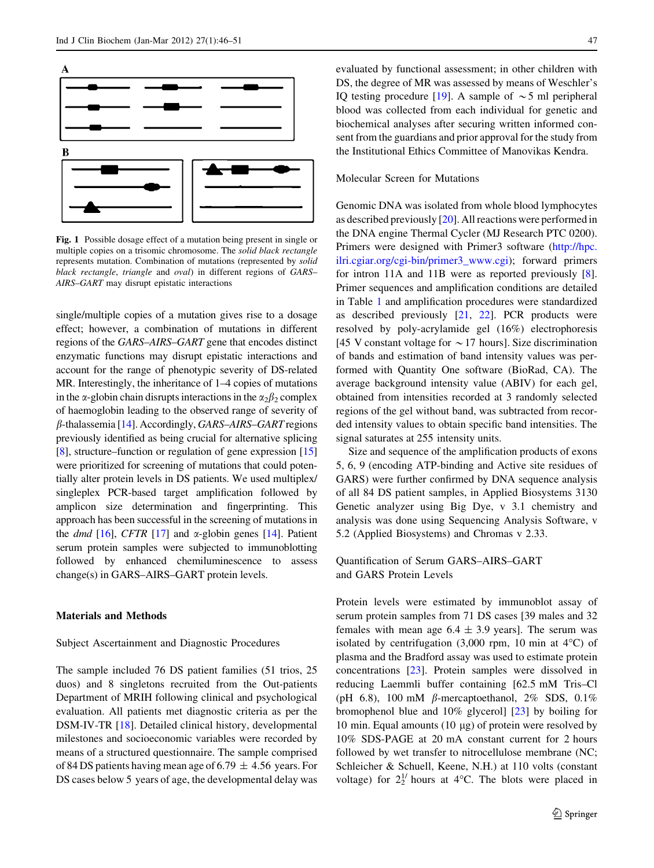<span id="page-1-0"></span>

Fig. 1 Possible dosage effect of a mutation being present in single or multiple copies on a trisomic chromosome. The solid black rectangle represents mutation. Combination of mutations (represented by solid black rectangle, triangle and oval) in different regions of GARS– AIRS–GART may disrupt epistatic interactions

single/multiple copies of a mutation gives rise to a dosage effect; however, a combination of mutations in different regions of the GARS–AIRS–GART gene that encodes distinct enzymatic functions may disrupt epistatic interactions and account for the range of phenotypic severity of DS-related MR. Interestingly, the inheritance of  $1-4$  copies of mutations in the  $\alpha$ -globin chain disrupts interactions in the  $\alpha_2\beta_2$  complex of haemoglobin leading to the observed range of severity of  $\beta$ -thalassemia [\[14\]](#page-5-0). Accordingly, GARS–AIRS–GART regions previously identified as being crucial for alternative splicing [\[8](#page-5-0)], structure–function or regulation of gene expression [\[15\]](#page-5-0) were prioritized for screening of mutations that could potentially alter protein levels in DS patients. We used multiplex/ singleplex PCR-based target amplification followed by amplicon size determination and fingerprinting. This approach has been successful in the screening of mutations in the *dmd* [[16\]](#page-5-0), CFTR [\[17](#page-5-0)] and  $\alpha$ -globin genes [[14](#page-5-0)]. Patient serum protein samples were subjected to immunoblotting followed by enhanced chemiluminescence to assess change(s) in GARS–AIRS–GART protein levels.

#### Materials and Methods

#### Subject Ascertainment and Diagnostic Procedures

The sample included 76 DS patient families (51 trios, 25 duos) and 8 singletons recruited from the Out-patients Department of MRIH following clinical and psychological evaluation. All patients met diagnostic criteria as per the DSM-IV-TR [[18\]](#page-5-0). Detailed clinical history, developmental milestones and socioeconomic variables were recorded by means of a structured questionnaire. The sample comprised of 84 DS patients having mean age of 6.79  $\pm$  4.56 years. For DS cases below 5 years of age, the developmental delay was evaluated by functional assessment; in other children with DS, the degree of MR was assessed by means of Weschler's IQ testing procedure [\[19](#page-5-0)]. A sample of  $\sim$  5 ml peripheral blood was collected from each individual for genetic and biochemical analyses after securing written informed consent from the guardians and prior approval for the study from the Institutional Ethics Committee of Manovikas Kendra.

## Molecular Screen for Mutations

Genomic DNA was isolated from whole blood lymphocytes as described previously [[20\]](#page-5-0). All reactions were performed in the DNA engine Thermal Cycler (MJ Research PTC 0200). Primers were designed with Primer3 software [\(http://hpc.](http://hpc.ilri.cgiar.org/cgi-bin/primer3_www.cgi) [ilri.cgiar.org/cgi-bin/primer3\\_www.cgi](http://hpc.ilri.cgiar.org/cgi-bin/primer3_www.cgi)); forward primers for intron 11A and 11B were as reported previously [\[8](#page-5-0)]. Primer sequences and amplification conditions are detailed in Table [1](#page-2-0) and amplification procedures were standardized as described previously [[21,](#page-5-0) [22\]](#page-5-0). PCR products were resolved by poly-acrylamide gel (16%) electrophoresis [45 V constant voltage for  $\sim$  17 hours]. Size discrimination of bands and estimation of band intensity values was performed with Quantity One software (BioRad, CA). The average background intensity value (ABIV) for each gel, obtained from intensities recorded at 3 randomly selected regions of the gel without band, was subtracted from recorded intensity values to obtain specific band intensities. The signal saturates at 255 intensity units.

Size and sequence of the amplification products of exons 5, 6, 9 (encoding ATP-binding and Active site residues of GARS) were further confirmed by DNA sequence analysis of all 84 DS patient samples, in Applied Biosystems 3130 Genetic analyzer using Big Dye, v 3.1 chemistry and analysis was done using Sequencing Analysis Software, v 5.2 (Applied Biosystems) and Chromas v 2.33.

# Quantification of Serum GARS–AIRS–GART and GARS Protein Levels

Protein levels were estimated by immunoblot assay of serum protein samples from 71 DS cases [39 males and 32 females with mean age  $6.4 \pm 3.9$  years]. The serum was isolated by centrifugation  $(3,000 \text{ rpm}, 10 \text{ min at } 4^{\circ}\text{C})$  of plasma and the Bradford assay was used to estimate protein concentrations [[23\]](#page-5-0). Protein samples were dissolved in reducing Laemmli buffer containing [62.5 mM Tris–Cl (pH 6.8), 100 mM  $\beta$ -mercaptoethanol, 2% SDS, 0.1% bromophenol blue and 10% glycerol] [[23\]](#page-5-0) by boiling for 10 min. Equal amounts  $(10 \mu g)$  of protein were resolved by 10% SDS-PAGE at 20 mA constant current for 2 hours followed by wet transfer to nitrocellulose membrane (NC; Schleicher & Schuell, Keene, N.H.) at 110 volts (constant voltage) for  $2^{1/2}$  hours at 4°C. The blots were placed in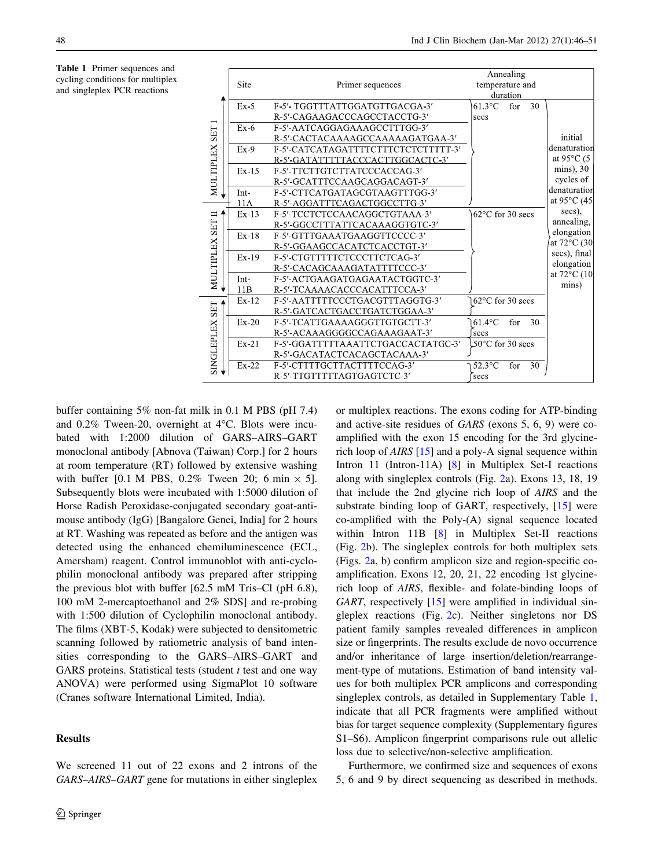<span id="page-2-0"></span>

|                                 |         |                                     | Annealing                  |          |    |                                 |
|---------------------------------|---------|-------------------------------------|----------------------------|----------|----|---------------------------------|
|                                 | Site    | Primer sequences                    | temperature and            |          |    |                                 |
| <b>SET</b><br>MULTIPLEX         |         |                                     |                            | duration |    |                                 |
|                                 | $Ex-5$  | F-5'-TGGTTTATTGGATGTTGACGA-3'       | $61.3$ °C                  | for      | 30 |                                 |
|                                 |         | R-5'-CAGAAGACCCAGCCTACCTG-3'        | secs                       |          |    |                                 |
|                                 | $Ex-6$  | F-5'-AATCAGGAGAAAGCCTTTGG-3'        |                            |          |    |                                 |
|                                 |         | R-5' CACTACAAAAGCCAAAAAGATGAA-3'    |                            |          |    | initial                         |
|                                 | $Ex-9$  | F-5' CATCATAGATTTTCTTTCTCTCTTTTT-3' |                            |          |    | denaturation                    |
|                                 |         | R-5'-GATATTTTTACCCACTTGGCACTC-3'    |                            |          |    | at 95 $\mathrm{^{\circ}C}$ (5   |
|                                 | $Ex-15$ | F-5'-TTCTTGTCTTATCCCACCAG-3'        |                            |          |    | $mins)$ , 30                    |
|                                 |         | R-5'-GCATTTCCAAGCAGGACAGT-3'        |                            |          |    | cycles of                       |
|                                 | Int-    | F-5' CTTCATGATAGCGTAAGTTTGG-3'      |                            |          |    | denaturation                    |
|                                 | 11A     | R-5'-AGGATTTCAGACTGGCCTTG-3'        |                            |          |    | at 95 $\mathrm{^{\circ}C}$ (45) |
| ᄇ<br>MULTIPLEX SET              | $Ex-13$ | F-5'-TCCTCTCCAACAGGCTGTAAA-3'       | $62^{\circ}$ C for 30 secs |          |    | secs),                          |
|                                 |         | R-5'-GGCCTTTATTCACAAAGGTGTC-3'      |                            |          |    | annealing,                      |
|                                 | $Ex-18$ | F-5'-GTTTGAAATGAAGGTTCCCC-3'        |                            |          |    | elongation                      |
|                                 |         | R-5'-GGAAGCCACATCTCACCTGT-3'        |                            |          |    | at 72°C (30                     |
|                                 | $Ex-19$ | F-5'-CTGTTTTTCTCCCTTCTCAG-3'        |                            |          |    | secs), final                    |
|                                 |         | R-5'-CACAGCAAAGATATTTTCCC-3'        |                            |          |    | elongation<br>at 72°C (10       |
|                                 | Int-    | F-5'-ACTGAAGATGAGAATACTGGTC-3'      |                            |          |    |                                 |
|                                 | 11B     | R-5'-TCAAAACACCCACATTTCCA-3'        |                            |          |    | mins)                           |
| <b>SET</b><br><b>SINGLEPLEX</b> | $Ex-12$ | F-5'-AATTTTTCCCTGACGTTTAGGTG-3'     | 62°C for 30 secs           |          |    |                                 |
|                                 |         | R-5'-GATCACTGACCTGATCTGGAA-3'       |                            |          |    |                                 |
|                                 | $Ex-20$ | F-5' TCATTGAAAAGGGTTGTGCTT-3'       | $61.4$ °C                  | for      | 30 |                                 |
|                                 |         | R-5'-ACAAAGGGGCCAGAAAGAAT-3'        | secs                       |          |    |                                 |
|                                 | Ex 21   | F-5'-GGATTTTTAAATTCTGACCACTATGC-3'  | 50 $\degree$ C for 30 secs |          |    |                                 |
|                                 |         | R-5'-GACATACTCACAGCTACAAA-3'        |                            |          |    |                                 |
|                                 | $Ex-22$ | F-5'-CTTTTGCTTACTTTTCCAG-3'         | $52.3^{\circ}$ C           | for      | 30 |                                 |
|                                 |         | R-5'-TTGTTTTTAGTGAGTCTC-3'          | secs                       |          |    |                                 |

buffer containing 5% non-fat milk in 0.1 M PBS (pH 7.4) and  $0.2\%$  Tween-20, overnight at  $4^{\circ}$ C. Blots were incubated with 1:2000 dilution of GARS–AIRS–GART monoclonal antibody [Abnova (Taiwan) Corp.] for 2 hours at room temperature (RT) followed by extensive washing with buffer [0.1 M PBS, 0.2% Tween 20; 6 min  $\times$  5]. Subsequently blots were incubated with 1:5000 dilution of Horse Radish Peroxidase-conjugated secondary goat-antimouse antibody (IgG) [Bangalore Genei, India] for 2 hours at RT. Washing was repeated as before and the antigen was detected using the enhanced chemiluminescence (ECL, Amersham) reagent. Control immunoblot with anti-cyclophilin monoclonal antibody was prepared after stripping the previous blot with buffer [62.5 mM Tris–Cl (pH 6.8), 100 mM 2-mercaptoethanol and 2% SDS] and re-probing with 1:500 dilution of Cyclophilin monoclonal antibody. The films (XBT-5, Kodak) were subjected to densitometric scanning followed by ratiometric analysis of band intensities corresponding to the GARS–AIRS–GART and GARS proteins. Statistical tests (student  $t$  test and one way ANOVA) were performed using SigmaPlot 10 software (Cranes software International Limited, India).

## Results

or multiplex reactions. The exons coding for ATP-binding and active-site residues of GARS (exons 5, 6, 9) were coamplified with the exon 15 encoding for the 3rd glycinerich loop of AIRS [\[15](#page-5-0)] and a poly-A signal sequence within Intron 11 (Intron-11A) [[8\]](#page-5-0) in Multiplex Set-I reactions along with singleplex controls (Fig. [2a](#page-3-0)). Exons 13, 18, 19 that include the 2nd glycine rich loop of AIRS and the substrate binding loop of GART, respectively, [\[15](#page-5-0)] were co-amplified with the Poly-(A) signal sequence located within Intron 11B [\[8](#page-5-0)] in Multiplex Set-II reactions (Fig. [2b](#page-3-0)). The singleplex controls for both multiplex sets (Figs. [2](#page-3-0)a, b) confirm amplicon size and region-specific coamplification. Exons 12, 20, 21, 22 encoding 1st glycinerich loop of AIRS, flexible- and folate-binding loops of GART, respectively [\[15](#page-5-0)] were amplified in individual singleplex reactions (Fig. [2c](#page-3-0)). Neither singletons nor DS patient family samples revealed differences in amplicon size or fingerprints. The results exclude de novo occurrence and/or inheritance of large insertion/deletion/rearrangement-type of mutations. Estimation of band intensity values for both multiplex PCR amplicons and corresponding singleplex controls, as detailed in Supplementary Table 1, indicate that all PCR fragments were amplified without bias for target sequence complexity (Supplementary figures S1–S6). Amplicon fingerprint comparisons rule out allelic loss due to selective/non-selective amplification.

Furthermore, we confirmed size and sequences of exons 5, 6 and 9 by direct sequencing as described in methods.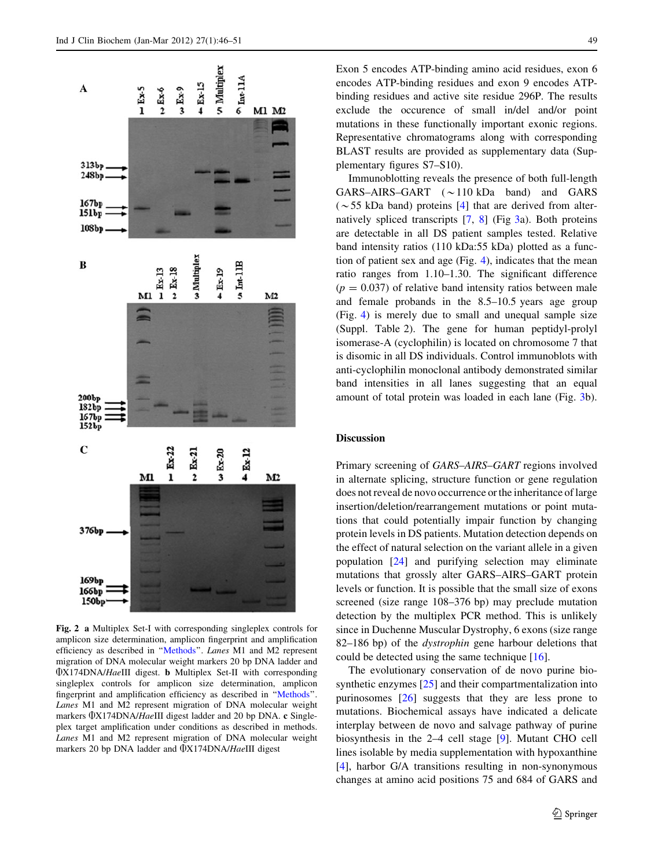

<span id="page-3-0"></span>

Fig. 2 a Multiplex Set-I with corresponding singleplex controls for amplicon size determination, amplicon fingerprint and amplification efficiency as described in ''[Methods'](#page-1-0)'. Lanes M1 and M2 represent migration of DNA molecular weight markers 20 bp DNA ladder and AX174DNA/HaeIII digest. b Multiplex Set-II with corresponding singleplex controls for amplicon size determination, amplicon fingerprint and amplification efficiency as described in ''[Methods](#page-1-0)''. Lanes M1 and M2 represent migration of DNA molecular weight markers  $\Phi$ X174DNA/HaeIII digest ladder and 20 bp DNA. c Singleplex target amplification under conditions as described in methods. Lanes M1 and M2 represent migration of DNA molecular weight markers 20 bp DNA ladder and  $\Phi$ X174DNA/HaeIII digest

Exon 5 encodes ATP-binding amino acid residues, exon 6 encodes ATP-binding residues and exon 9 encodes ATPbinding residues and active site residue 296P. The results exclude the occurence of small in/del and/or point mutations in these functionally important exonic regions. Representative chromatograms along with corresponding BLAST results are provided as supplementary data (Supplementary figures S7–S10).

Immunoblotting reveals the presence of both full-length GARS–AIRS–GART  $(\sim 110 \text{ kDa }$  band) and GARS ( $\sim$  55 kDa band) proteins [[4](#page-5-0)] that are derived from alternatively spliced transcripts  $[7, 8]$  $[7, 8]$  $[7, 8]$  $[7, 8]$  $[7, 8]$  (Fig [3a](#page-4-0)). Both proteins are detectable in all DS patient samples tested. Relative band intensity ratios (110 kDa:55 kDa) plotted as a function of patient sex and age (Fig. [4\)](#page-4-0), indicates that the mean ratio ranges from 1.10–1.30. The significant difference  $(p = 0.037)$  of relative band intensity ratios between male and female probands in the 8.5–10.5 years age group (Fig. [4\)](#page-4-0) is merely due to small and unequal sample size (Suppl. Table 2). The gene for human peptidyl-prolyl isomerase-A (cyclophilin) is located on chromosome 7 that is disomic in all DS individuals. Control immunoblots with anti-cyclophilin monoclonal antibody demonstrated similar band intensities in all lanes suggesting that an equal amount of total protein was loaded in each lane (Fig. [3](#page-4-0)b).

#### Discussion

Primary screening of GARS–AIRS–GART regions involved in alternate splicing, structure function or gene regulation does not reveal de novo occurrence or the inheritance of large insertion/deletion/rearrangement mutations or point mutations that could potentially impair function by changing protein levels in DS patients. Mutation detection depends on the effect of natural selection on the variant allele in a given population [\[24](#page-5-0)] and purifying selection may eliminate mutations that grossly alter GARS–AIRS–GART protein levels or function. It is possible that the small size of exons screened (size range 108–376 bp) may preclude mutation detection by the multiplex PCR method. This is unlikely since in Duchenne Muscular Dystrophy, 6 exons (size range 82–186 bp) of the *dystrophin* gene harbour deletions that could be detected using the same technique [[16\]](#page-5-0).

The evolutionary conservation of de novo purine bio-synthetic enzymes [\[25](#page-5-0)] and their compartmentalization into purinosomes [\[26](#page-5-0)] suggests that they are less prone to mutations. Biochemical assays have indicated a delicate interplay between de novo and salvage pathway of purine biosynthesis in the 2–4 cell stage [[9\]](#page-5-0). Mutant CHO cell lines isolable by media supplementation with hypoxanthine [\[4](#page-5-0)], harbor G/A transitions resulting in non-synonymous changes at amino acid positions 75 and 684 of GARS and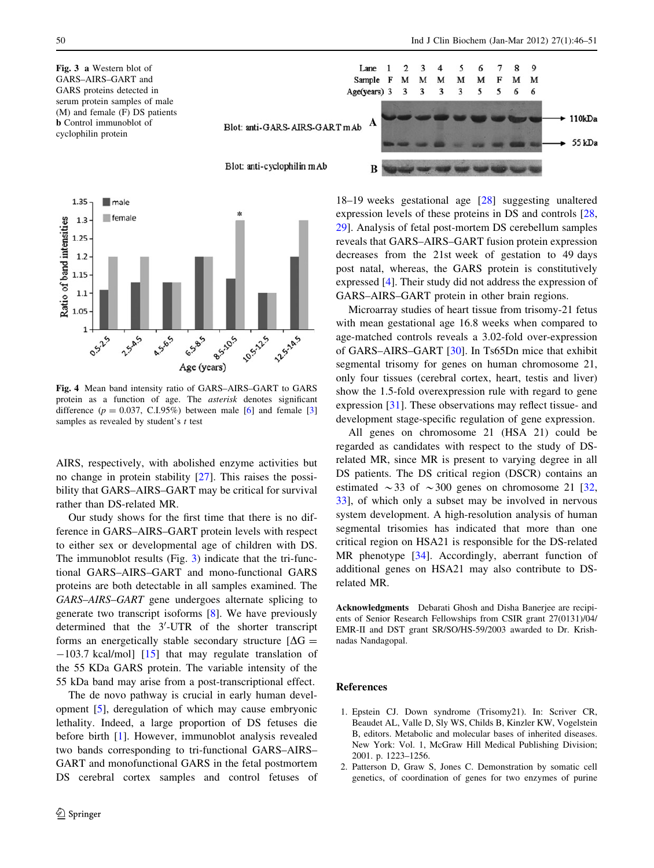<span id="page-4-0"></span>Fig. 3 a Western blot of GARS–AIRS–GART and GARS proteins detected in serum protein samples of male (M) and female (F) DS patients b Control immunoblot of cyclophilin protein



Fig. 4 Mean band intensity ratio of GARS–AIRS–GART to GARS protein as a function of age. The asterisk denotes significant difference ( $p = 0.037$ , C.I.95%) between male [[6\]](#page-5-0) and female [\[3](#page-5-0)] samples as revealed by student's  $t$  test

AIRS, respectively, with abolished enzyme activities but no change in protein stability [[27\]](#page-5-0). This raises the possibility that GARS–AIRS–GART may be critical for survival rather than DS-related MR.

Our study shows for the first time that there is no difference in GARS–AIRS–GART protein levels with respect to either sex or developmental age of children with DS. The immunoblot results (Fig. 3) indicate that the tri-functional GARS–AIRS–GART and mono-functional GARS proteins are both detectable in all samples examined. The GARS–AIRS–GART gene undergoes alternate splicing to generate two transcript isoforms [[8\]](#page-5-0). We have previously determined that the 3'-UTR of the shorter transcript forms an energetically stable secondary structure  $[\Delta G =$  $-103.7$  kcal/mol] [\[15](#page-5-0)] that may regulate translation of the 55 KDa GARS protein. The variable intensity of the 55 kDa band may arise from a post-transcriptional effect.

The de novo pathway is crucial in early human development [\[5](#page-5-0)], deregulation of which may cause embryonic lethality. Indeed, a large proportion of DS fetuses die before birth [1]. However, immunoblot analysis revealed two bands corresponding to tri-functional GARS–AIRS– GART and monofunctional GARS in the fetal postmortem DS cerebral cortex samples and control fetuses of



18–19 weeks gestational age [[28\]](#page-5-0) suggesting unaltered expression levels of these proteins in DS and controls [[28,](#page-5-0) [29](#page-5-0)]. Analysis of fetal post-mortem DS cerebellum samples reveals that GARS–AIRS–GART fusion protein expression decreases from the 21st week of gestation to 49 days post natal, whereas, the GARS protein is constitutively expressed [\[4](#page-5-0)]. Their study did not address the expression of GARS–AIRS–GART protein in other brain regions.

Microarray studies of heart tissue from trisomy-21 fetus with mean gestational age 16.8 weeks when compared to age-matched controls reveals a 3.02-fold over-expression of GARS–AIRS–GART [\[30](#page-5-0)]. In Ts65Dn mice that exhibit segmental trisomy for genes on human chromosome 21, only four tissues (cerebral cortex, heart, testis and liver) show the 1.5-fold overexpression rule with regard to gene expression [[31\]](#page-5-0). These observations may reflect tissue- and development stage-specific regulation of gene expression.

All genes on chromosome 21 (HSA 21) could be regarded as candidates with respect to the study of DSrelated MR, since MR is present to varying degree in all DS patients. The DS critical region (DSCR) contains an estimated  $\sim$  33 of  $\sim$  300 genes on chromosome 21 [[32,](#page-5-0) [33](#page-5-0)], of which only a subset may be involved in nervous system development. A high-resolution analysis of human segmental trisomies has indicated that more than one critical region on HSA21 is responsible for the DS-related MR phenotype [\[34](#page-5-0)]. Accordingly, aberrant function of additional genes on HSA21 may also contribute to DSrelated MR.

Acknowledgments Debarati Ghosh and Disha Banerjee are recipients of Senior Research Fellowships from CSIR grant 27(0131)/04/ EMR-II and DST grant SR/SO/HS-59/2003 awarded to Dr. Krishnadas Nandagopal.

#### References

- 1. Epstein CJ. Down syndrome (Trisomy21). In: Scriver CR, Beaudet AL, Valle D, Sly WS, Childs B, Kinzler KW, Vogelstein B, editors. Metabolic and molecular bases of inherited diseases. New York: Vol. 1, McGraw Hill Medical Publishing Division; 2001. p. 1223–1256.
- 2. Patterson D, Graw S, Jones C. Demonstration by somatic cell genetics, of coordination of genes for two enzymes of purine